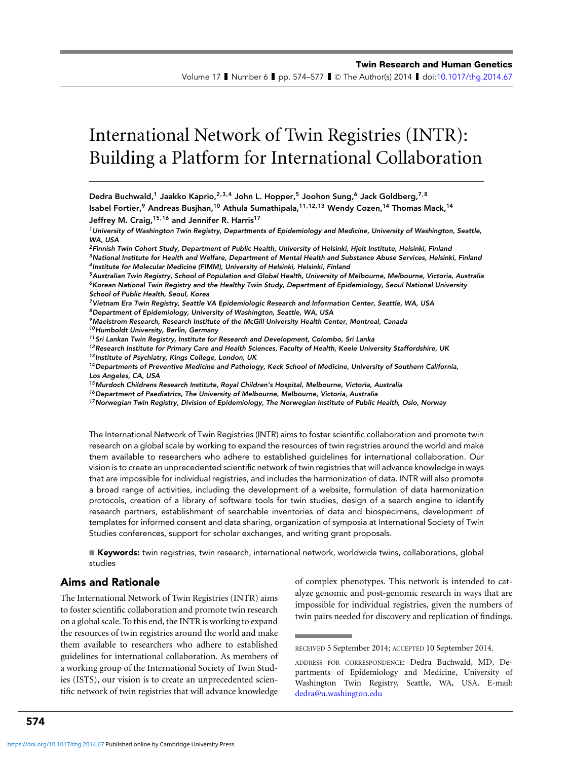Volume 17 I Number 6 I pp. 574–577 I © The Author(s) 2014 I doi[:10.1017/thg.2014.67](http://dx.doi.org/10.1017/thg.2014.67)

# International Network of Twin Registries (INTR): Building a Platform for International Collaboration

Dedra Buchwald,<sup>1</sup> Jaakko Kaprio,<sup>2,3,4</sup> John L. Hopper,<sup>5</sup> Joohon Sung,<sup>6</sup> Jack Goldberg,<sup>7,8</sup> Isabel Fortier,<sup>9</sup> Andreas Busihan,<sup>10</sup> Athula Sumathipala,<sup>11,12,13</sup> Wendy Cozen,<sup>14</sup> Thomas Mack,<sup>14</sup> Jeffrey M. Craig, <sup>15, 16</sup> and Jennifer R. Harris<sup>17</sup>

<sup>1</sup> University of Washington Twin Registry, Departments of Epidemiology and Medicine, University of Washington, Seattle, WA, USA

<sup>2</sup> Finnish Twin Cohort Study, Department of Public Health, University of Helsinki, Hjelt Institute, Helsinki, Finland <sup>3</sup>National Institute for Health and Welfare, Department of Mental Health and Substance Abuse Services, Helsinki, Finland <sup>4</sup> Institute for Molecular Medicine (FIMM), University of Helsinki, Helsinki, Finland

<sup>5</sup>Australian Twin Registry, School of Population and Global Health, University of Melbourne, Melbourne, Victoria, Australia <sup>6</sup>Korean National Twin Registry and the Healthy Twin Study, Department of Epidemiology, Seoul National University School of Public Health, Seoul, Korea

<sup>7</sup>Vietnam Era Twin Registry, Seattle VA Epidemiologic Research and Information Center, Seattle, WA, USA

 $8$ Department of Epidemiology, University of Washington, Seattle, WA, USA

<sup>9</sup>Maelstrom Research, Research Institute of the McGill University Health Center, Montreal, Canada

10 Humboldt University, Berlin, Germany

<sup>11</sup> Sri Lankan Twin Registry, Institute for Research and Development, Colombo, Sri Lanka

 $12$ Research Institute for Primary Care and Health Sciences, Faculty of Health, Keele University Staffordshire, UK 13 Institute of Psychiatry, Kings College, London, UK

<sup>14</sup>Departments of Preventive Medicine and Pathology, Keck School of Medicine, University of Southern California, Los Angeles, CA, USA

<sup>15</sup> Murdoch Childrens Research Institute, Royal Children's Hospital, Melbourne, Victoria, Australia

 $16$  Department of Paediatrics, The University of Melbourne, Melbourne, Victoria, Australia

<sup>17</sup>Norwegian Twin Registry, Division of Epidemiology, The Norwegian Institute of Public Health, Oslo, Norway

The International Network of Twin Registries (INTR) aims to foster scientific collaboration and promote twin research on a global scale by working to expand the resources of twin registries around the world and make them available to researchers who adhere to established guidelines for international collaboration. Our vision is to create an unprecedented scientific network of twin registries that will advance knowledge in ways that are impossible for individual registries, and includes the harmonization of data. INTR will also promote a broad range of activities, including the development of a website, formulation of data harmonization protocols, creation of a library of software tools for twin studies, design of a search engine to identify research partners, establishment of searchable inventories of data and biospecimens, development of templates for informed consent and data sharing, organization of symposia at International Society of Twin Studies conferences, support for scholar exchanges, and writing grant proposals.

■ **Keywords:** twin registries, twin research, international network, worldwide twins, collaborations, global studies

## Aims and Rationale

The International Network of Twin Registries (INTR) aims to foster scientific collaboration and promote twin research on a global scale. To this end, the INTR is working to expand the resources of twin registries around the world and make them available to researchers who adhere to established guidelines for international collaboration. As members of a working group of the International Society of Twin Studies (ISTS), our vision is to create an unprecedented scientific network of twin registries that will advance knowledge of complex phenotypes. This network is intended to catalyze genomic and post-genomic research in ways that are impossible for individual registries, given the numbers of twin pairs needed for discovery and replication of findings.

RECEIVED 5 September 2014; ACCEPTED 10 September 2014.

ADDRESS FOR CORRESPONDENCE: Dedra Buchwald, MD, Departments of Epidemiology and Medicine, University of Washington Twin Registry, Seattle, WA, USA. E-mail: [dedra@u.washington.edu](mailto:dedra@u.washington.edu)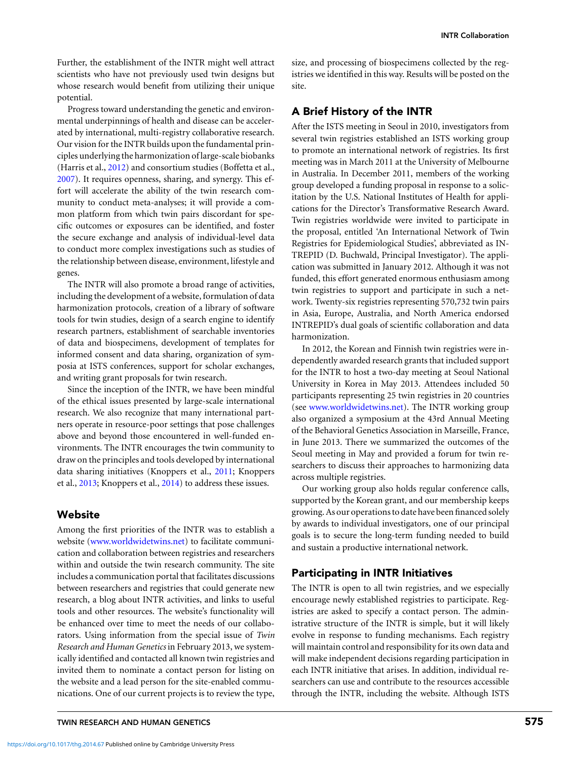Further, the establishment of the INTR might well attract scientists who have not previously used twin designs but whose research would benefit from utilizing their unique potential.

Progress toward understanding the genetic and environmental underpinnings of health and disease can be accelerated by international, multi-registry collaborative research. Our vision for the INTR builds upon the fundamental principles underlying the harmonization of large-scale biobanks (Harris et al., [2012\)](#page-2-0) and consortium studies (Boffetta et al., [2007\)](#page-2-0). It requires openness, sharing, and synergy. This effort will accelerate the ability of the twin research community to conduct meta-analyses; it will provide a common platform from which twin pairs discordant for specific outcomes or exposures can be identified, and foster the secure exchange and analysis of individual-level data to conduct more complex investigations such as studies of the relationship between disease, environment, lifestyle and genes.

The INTR will also promote a broad range of activities, including the development of a website, formulation of data harmonization protocols, creation of a library of software tools for twin studies, design of a search engine to identify research partners, establishment of searchable inventories of data and biospecimens, development of templates for informed consent and data sharing, organization of symposia at ISTS conferences, support for scholar exchanges, and writing grant proposals for twin research.

Since the inception of the INTR, we have been mindful of the ethical issues presented by large-scale international research. We also recognize that many international partners operate in resource-poor settings that pose challenges above and beyond those encountered in well-funded environments. The INTR encourages the twin community to draw on the principles and tools developed by international data sharing initiatives (Knoppers et al., [2011;](#page-3-0) Knoppers et al., [2013;](#page-2-0) Knoppers et al., [2014\)](#page-3-0) to address these issues.

## **Website**

Among the first priorities of the INTR was to establish a website [\(www.worldwidetwins.net\)](http://www.worldwidetwins.net) to facilitate communication and collaboration between registries and researchers within and outside the twin research community. The site includes a communication portal that facilitates discussions between researchers and registries that could generate new research, a blog about INTR activities, and links to useful tools and other resources. The website's functionality will be enhanced over time to meet the needs of our collaborators. Using information from the special issue of *Twin Research and Human Genetics* in February 2013, we systemically identified and contacted all known twin registries and invited them to nominate a contact person for listing on the website and a lead person for the site-enabled communications. One of our current projects is to review the type,

size, and processing of biospecimens collected by the registries we identified in this way. Results will be posted on the site.

#### A Brief History of the INTR

After the ISTS meeting in Seoul in 2010, investigators from several twin registries established an ISTS working group to promote an international network of registries. Its first meeting was in March 2011 at the University of Melbourne in Australia. In December 2011, members of the working group developed a funding proposal in response to a solicitation by the U.S. National Institutes of Health for applications for the Director's Transformative Research Award. Twin registries worldwide were invited to participate in the proposal, entitled 'An International Network of Twin Registries for Epidemiological Studies', abbreviated as IN-TREPID (D. Buchwald, Principal Investigator). The application was submitted in January 2012. Although it was not funded, this effort generated enormous enthusiasm among twin registries to support and participate in such a network. Twenty-six registries representing 570,732 twin pairs in Asia, Europe, Australia, and North America endorsed INTREPID's dual goals of scientific collaboration and data harmonization.

In 2012, the Korean and Finnish twin registries were independently awarded research grants that included support for the INTR to host a two-day meeting at Seoul National University in Korea in May 2013. Attendees included 50 participants representing 25 twin registries in 20 countries (see [www.worldwidetwins.net\)](http://www.worldwidetwins.net). The INTR working group also organized a symposium at the 43rd Annual Meeting of the Behavioral Genetics Association in Marseille, France, in June 2013. There we summarized the outcomes of the Seoul meeting in May and provided a forum for twin researchers to discuss their approaches to harmonizing data across multiple registries.

Our working group also holds regular conference calls, supported by the Korean grant, and our membership keeps growing. As our operations to date have been financed solely by awards to individual investigators, one of our principal goals is to secure the long-term funding needed to build and sustain a productive international network.

#### Participating in INTR Initiatives

The INTR is open to all twin registries, and we especially encourage newly established registries to participate. Registries are asked to specify a contact person. The administrative structure of the INTR is simple, but it will likely evolve in response to funding mechanisms. Each registry will maintain control and responsibility for its own data and will make independent decisions regarding participation in each INTR initiative that arises. In addition, individual researchers can use and contribute to the resources accessible through the INTR, including the website. Although ISTS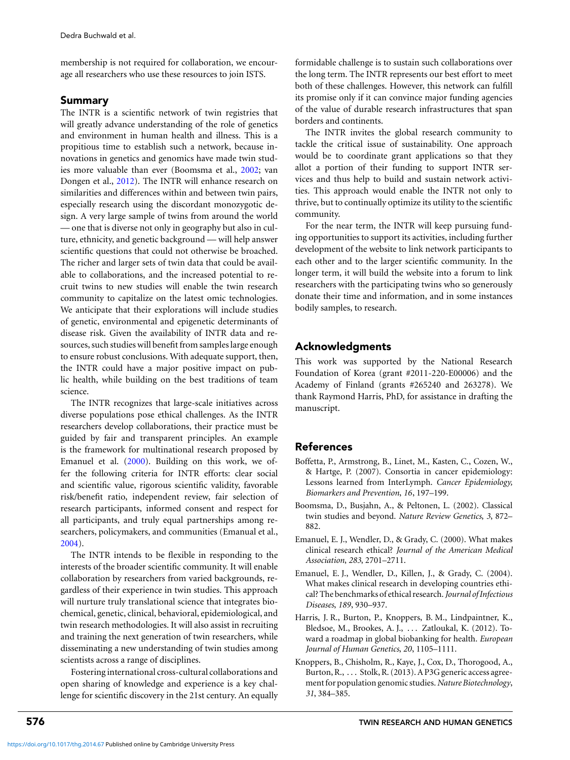<span id="page-2-0"></span>membership is not required for collaboration, we encourage all researchers who use these resources to join ISTS.

#### Summary

The INTR is a scientific network of twin registries that will greatly advance understanding of the role of genetics and environment in human health and illness. This is a propitious time to establish such a network, because innovations in genetics and genomics have made twin studies more valuable than ever (Boomsma et al., 2002; van Dongen et al., [2012\)](#page-3-0). The INTR will enhance research on similarities and differences within and between twin pairs, especially research using the discordant monozygotic design. A very large sample of twins from around the world — one that is diverse not only in geography but also in culture, ethnicity, and genetic background — will help answer scientific questions that could not otherwise be broached. The richer and larger sets of twin data that could be available to collaborations, and the increased potential to recruit twins to new studies will enable the twin research community to capitalize on the latest omic technologies. We anticipate that their explorations will include studies of genetic, environmental and epigenetic determinants of disease risk. Given the availability of INTR data and resources, such studies will benefit from samples large enough to ensure robust conclusions. With adequate support, then, the INTR could have a major positive impact on public health, while building on the best traditions of team science.

The INTR recognizes that large-scale initiatives across diverse populations pose ethical challenges. As the INTR researchers develop collaborations, their practice must be guided by fair and transparent principles. An example is the framework for multinational research proposed by Emanuel et al. (2000). Building on this work, we offer the following criteria for INTR efforts: clear social and scientific value, rigorous scientific validity, favorable risk/benefit ratio, independent review, fair selection of research participants, informed consent and respect for all participants, and truly equal partnerships among researchers, policymakers, and communities (Emanual et al., 2004).

The INTR intends to be flexible in responding to the interests of the broader scientific community. It will enable collaboration by researchers from varied backgrounds, regardless of their experience in twin studies. This approach will nurture truly translational science that integrates biochemical, genetic, clinical, behavioral, epidemiological, and twin research methodologies. It will also assist in recruiting and training the next generation of twin researchers, while disseminating a new understanding of twin studies among scientists across a range of disciplines.

Fostering international cross-cultural collaborations and open sharing of knowledge and experience is a key challenge for scientific discovery in the 21st century. An equally formidable challenge is to sustain such collaborations over the long term. The INTR represents our best effort to meet both of these challenges. However, this network can fulfill its promise only if it can convince major funding agencies of the value of durable research infrastructures that span borders and continents.

The INTR invites the global research community to tackle the critical issue of sustainability. One approach would be to coordinate grant applications so that they allot a portion of their funding to support INTR services and thus help to build and sustain network activities. This approach would enable the INTR not only to thrive, but to continually optimize its utility to the scientific community.

For the near term, the INTR will keep pursuing funding opportunities to support its activities, including further development of the website to link network participants to each other and to the larger scientific community. In the longer term, it will build the website into a forum to link researchers with the participating twins who so generously donate their time and information, and in some instances bodily samples, to research.

# Acknowledgments

This work was supported by the National Research Foundation of Korea (grant #2011-220-E00006) and the Academy of Finland (grants #265240 and 263278). We thank Raymond Harris, PhD, for assistance in drafting the manuscript.

# References

- Boffetta, P., Armstrong, B., Linet, M., Kasten, C., Cozen, W., & Hartge, P. (2007). Consortia in cancer epidemiology: Lessons learned from InterLymph. *Cancer Epidemiology, Biomarkers and Prevention*, *16*, 197–199.
- Boomsma, D., Busjahn, A., & Peltonen, L. (2002). Classical twin studies and beyond. *Nature Review Genetics*, *3*, 872– 882.
- Emanuel, E. J., Wendler, D., & Grady, C. (2000). What makes clinical research ethical? *Journal of the American Medical Association*, *283*, 2701–2711.
- Emanuel, E. J., Wendler, D., Killen, J., & Grady, C. (2004). What makes clinical research in developing countries ethical? The benchmarks of ethical research.*Journal of Infectious Diseases*, *189*, 930–937.
- Harris, J. R., Burton, P., Knoppers, B. M., Lindpaintner, K., Bledsoe, M., Brookes, A. J., . . . Zatloukal, K. (2012). Toward a roadmap in global biobanking for health. *European Journal of Human Genetics*, *20*, 1105–1111.
- Knoppers, B., Chisholm, R., Kaye, J., Cox, D., Thorogood, A., Burton, R., . . . Stolk, R. (2013). A P3G generic access agreementfor population genomic studies.*Nature Biotechnology*, *31*, 384–385.